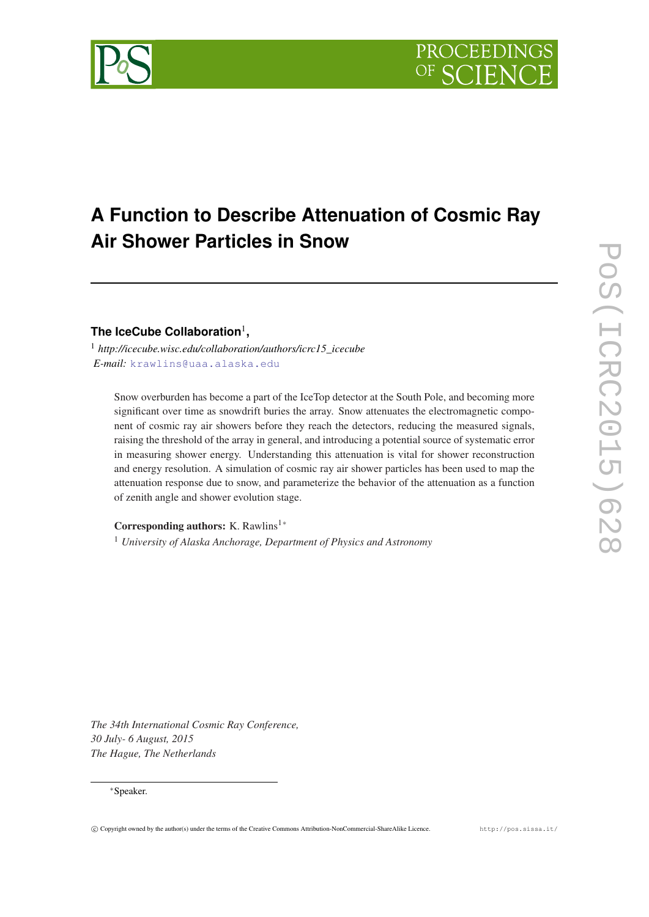# **A Function to Describe Attenuation of Cosmic Ray Air Shower Particles in Snow**

## **The IceCube Collaboration**<sup>1</sup> **,**

<sup>1</sup> *http://icecube.wisc.edu/collaboration/authors/icrc15\_icecube E-mail:* [krawlins@uaa.alaska.edu](mailto:krawlins@uaa.alaska.edu)

Snow overburden has become a part of the IceTop detector at the South Pole, and becoming more significant over time as snowdrift buries the array. Snow attenuates the electromagnetic component of cosmic ray air showers before they reach the detectors, reducing the measured signals, raising the threshold of the array in general, and introducing a potential source of systematic error in measuring shower energy. Understanding this attenuation is vital for shower reconstruction and energy resolution. A simulation of cosmic ray air shower particles has been used to map the attenuation response due to snow, and parameterize the behavior of the attenuation as a function of zenith angle and shower evolution stage.

Corresponding authors: K. Rawlins<sup>1</sup><sup>∗</sup>

<sup>1</sup> *University of Alaska Anchorage, Department of Physics and Astronomy*

*The 34th International Cosmic Ray Conference, 30 July- 6 August, 2015 The Hague, The Netherlands*

#### <sup>∗</sup>Speaker.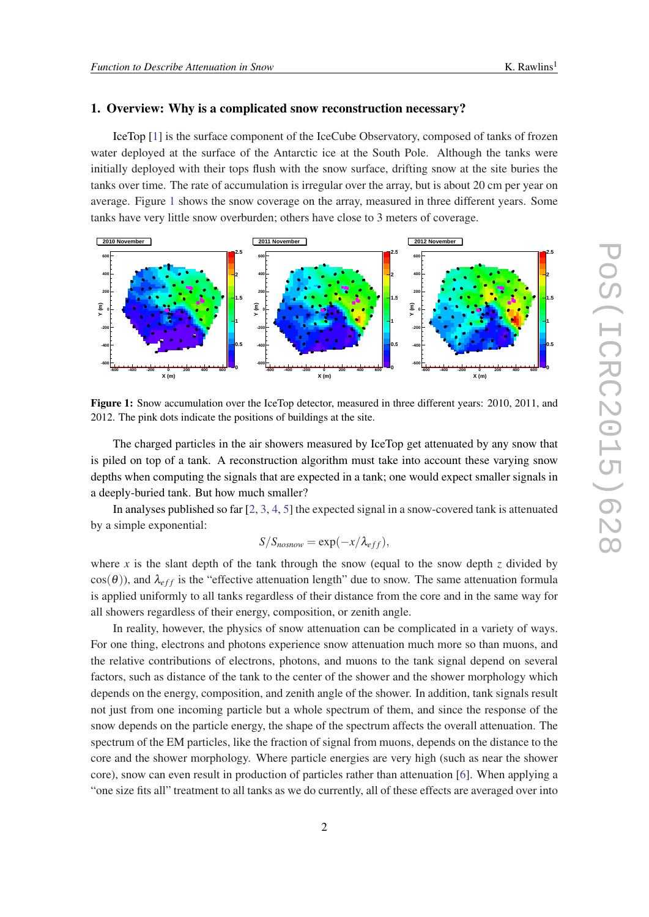#### 1. Overview: Why is a complicated snow reconstruction necessary?

IceTop [[1](#page-7-0)] is the surface component of the IceCube Observatory, composed of tanks of frozen water deployed at the surface of the Antarctic ice at the South Pole. Although the tanks were initially deployed with their tops flush with the snow surface, drifting snow at the site buries the tanks over time. The rate of accumulation is irregular over the array, but is about 20 cm per year on average. Figure 1 shows the snow coverage on the array, measured in three different years. Some tanks have very little snow overburden; others have close to 3 meters of coverage.



Figure 1: Snow accumulation over the IceTop detector, measured in three different years: 2010, 2011, and 2012. The pink dots indicate the positions of buildings at the site.

The charged particles in the air showers measured by IceTop get attenuated by any snow that is piled on top of a tank. A reconstruction algorithm must take into account these varying snow depths when computing the signals that are expected in a tank; one would expect smaller signals in a deeply-buried tank. But how much smaller?

In analyses published so far [[2](#page-7-0), [3,](#page-7-0) [4,](#page-7-0) [5](#page-7-0)] the expected signal in a snow-covered tank is attenuated by a simple exponential:

$$
S/S_{nosnow} = \exp(-x/\lambda_{eff}),
$$

where x is the slant depth of the tank through the snow (equal to the snow depth  $z$  divided by  $cos(\theta)$ ), and  $\lambda_{eff}$  is the "effective attenuation length" due to snow. The same attenuation formula is applied uniformly to all tanks regardless of their distance from the core and in the same way for all showers regardless of their energy, composition, or zenith angle.

In reality, however, the physics of snow attenuation can be complicated in a variety of ways. For one thing, electrons and photons experience snow attenuation much more so than muons, and the relative contributions of electrons, photons, and muons to the tank signal depend on several factors, such as distance of the tank to the center of the shower and the shower morphology which depends on the energy, composition, and zenith angle of the shower. In addition, tank signals result not just from one incoming particle but a whole spectrum of them, and since the response of the snow depends on the particle energy, the shape of the spectrum affects the overall attenuation. The spectrum of the EM particles, like the fraction of signal from muons, depends on the distance to the core and the shower morphology. Where particle energies are very high (such as near the shower core), snow can even result in production of particles rather than attenuation [\[6](#page-7-0)]. When applying a "one size fits all" treatment to all tanks as we do currently, all of these effects are averaged over into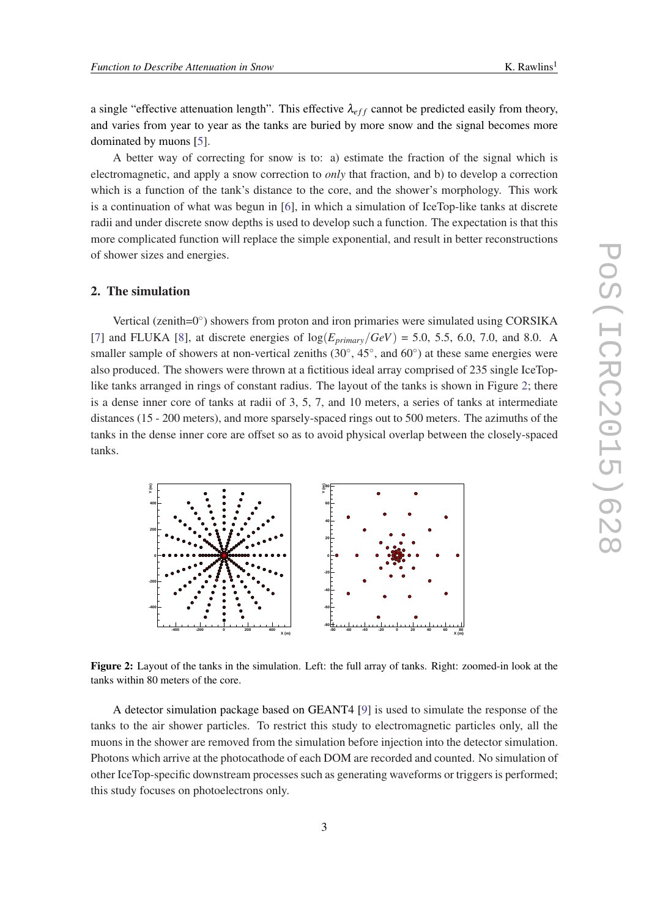a single "effective attenuation length". This effective  $\lambda_{eff}$  cannot be predicted easily from theory, and varies from year to year as the tanks are buried by more snow and the signal becomes more dominated by muons [\[5\]](#page-7-0).

A better way of correcting for snow is to: a) estimate the fraction of the signal which is electromagnetic, and apply a snow correction to *only* that fraction, and b) to develop a correction which is a function of the tank's distance to the core, and the shower's morphology. This work is a continuation of what was begun in [\[6\]](#page-7-0), in which a simulation of IceTop-like tanks at discrete radii and under discrete snow depths is used to develop such a function. The expectation is that this more complicated function will replace the simple exponential, and result in better reconstructions of shower sizes and energies.

#### 2. The simulation

Vertical (zenith=0°) showers from proton and iron primaries were simulated using CORSIKA [[7](#page-7-0)] and FLUKA [[8](#page-7-0)], at discrete energies of  $\log(E_{primary}/GeV) = 5.0, 5.5, 6.0, 7.0,$  and 8.0. A smaller sample of showers at non-vertical zeniths  $(30^{\circ}, 45^{\circ},$  and  $60^{\circ})$  at these same energies were also produced. The showers were thrown at a fictitious ideal array comprised of 235 single IceToplike tanks arranged in rings of constant radius. The layout of the tanks is shown in Figure 2; there is a dense inner core of tanks at radii of 3, 5, 7, and 10 meters, a series of tanks at intermediate distances (15 - 200 meters), and more sparsely-spaced rings out to 500 meters. The azimuths of the tanks in the dense inner core are offset so as to avoid physical overlap between the closely-spaced tanks.



Figure 2: Layout of the tanks in the simulation. Left: the full array of tanks. Right: zoomed-in look at the tanks within 80 meters of the core.

A detector simulation package based on GEANT4 [[9](#page-7-0)] is used to simulate the response of the tanks to the air shower particles. To restrict this study to electromagnetic particles only, all the muons in the shower are removed from the simulation before injection into the detector simulation. Photons which arrive at the photocathode of each DOM are recorded and counted. No simulation of other IceTop-specific downstream processes such as generating waveforms or triggers is performed; this study focuses on photoelectrons only.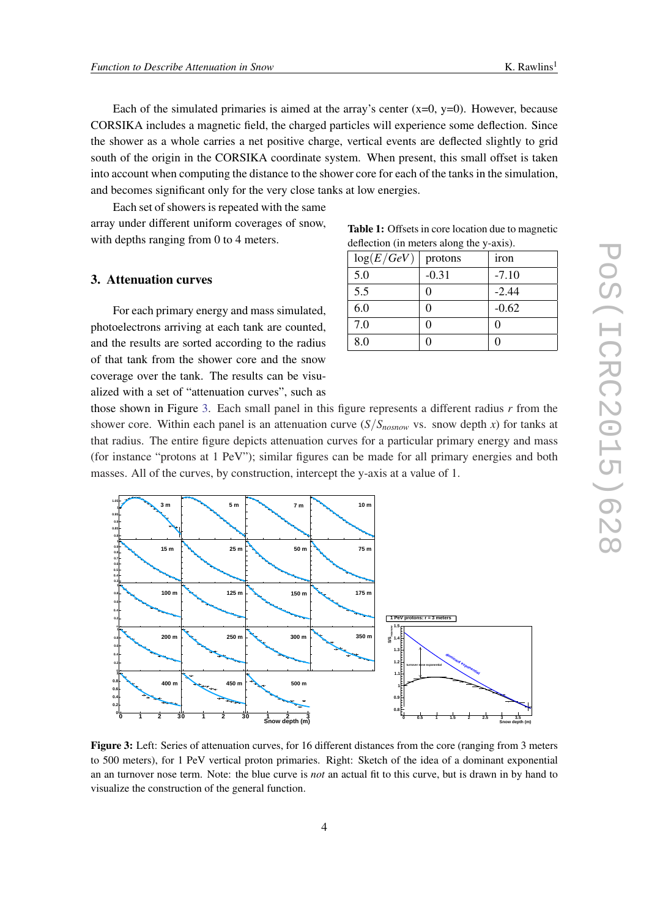<span id="page-3-0"></span>Each of the simulated primaries is aimed at the array's center  $(x=0, y=0)$ . However, because CORSIKA includes a magnetic field, the charged particles will experience some deflection. Since the shower as a whole carries a net positive charge, vertical events are deflected slightly to grid south of the origin in the CORSIKA coordinate system. When present, this small offset is taken into account when computing the distance to the shower core for each of the tanks in the simulation, and becomes significant only for the very close tanks at low energies.

Each set of showers is repeated with the same array under different uniform coverages of snow, with depths ranging from 0 to 4 meters.

#### 3. Attenuation curves

For each primary energy and mass simulated, photoelectrons arriving at each tank are counted, and the results are sorted according to the radius of that tank from the shower core and the snow coverage over the tank. The results can be visualized with a set of "attenuation curves", such as

Table 1: Offsets in core location due to magnetic deflection (in meters along the y-axis).

| log(E/GeV) | protons | iron    |
|------------|---------|---------|
| 5.0        | $-0.31$ | $-7.10$ |
| 5.5        | 0       | $-2.44$ |
| 6.0        | 0       | $-0.62$ |
| 7.0        | 0       | 0       |
| 8.0        |         |         |

those shown in Figure 3. Each small panel in this figure represents a different radius *r* from the shower core. Within each panel is an attenuation curve  $(S/S_{nosnow}$  vs. snow depth *x*) for tanks at that radius. The entire figure depicts attenuation curves for a particular primary energy and mass (for instance "protons at 1 PeV"); similar figures can be made for all primary energies and both masses. All of the curves, by construction, intercept the y-axis at a value of 1.



Figure 3: Left: Series of attenuation curves, for 16 different distances from the core (ranging from 3 meters to 500 meters), for 1 PeV vertical proton primaries. Right: Sketch of the idea of a dominant exponential an an turnover nose term. Note: the blue curve is *not* an actual fit to this curve, but is drawn in by hand to visualize the construction of the general function.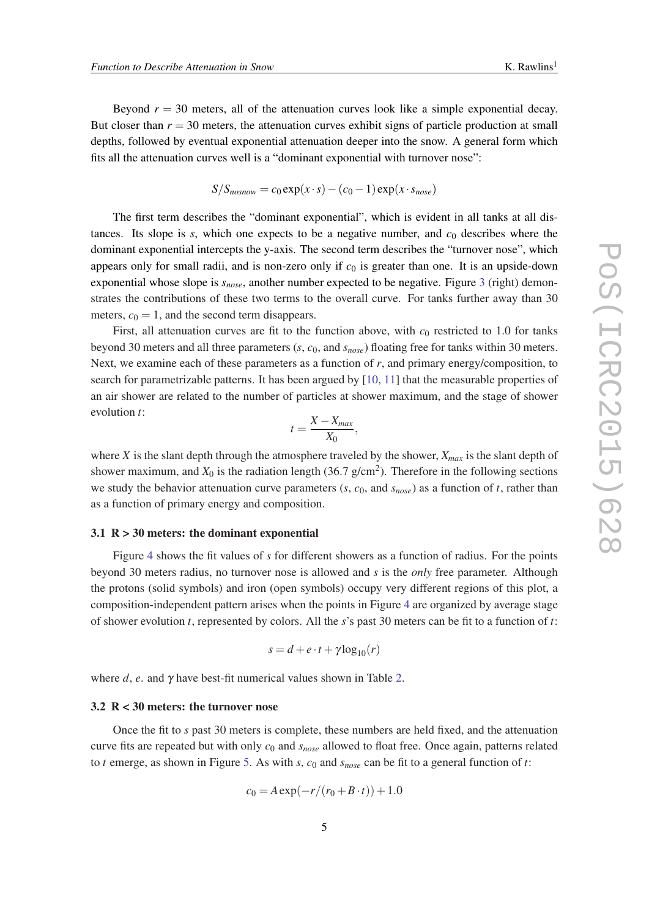Beyond  $r = 30$  meters, all of the attenuation curves look like a simple exponential decay. But closer than  $r = 30$  meters, the attenuation curves exhibit signs of particle production at small depths, followed by eventual exponential attenuation deeper into the snow. A general form which fits all the attenuation curves well is a "dominant exponential with turnover nose":

$$
S/S_{nosnow} = c_0 \exp(x \cdot s) - (c_0 - 1) \exp(x \cdot s_{nose})
$$

The first term describes the "dominant exponential", which is evident in all tanks at all distances. Its slope is  $s$ , which one expects to be a negative number, and  $c<sub>0</sub>$  describes where the dominant exponential intercepts the y-axis. The second term describes the "turnover nose", which appears only for small radii, and is non-zero only if  $c_0$  is greater than one. It is an upside-down exponential whose slope is *snose*, another number expected to be negative. Figure [3](#page-3-0) (right) demonstrates the contributions of these two terms to the overall curve. For tanks further away than 30 meters,  $c_0 = 1$ , and the second term disappears.

First, all attenuation curves are fit to the function above, with  $c_0$  restricted to 1.0 for tanks beyond 30 meters and all three parameters (*s*, *c*0, and *snose*) floating free for tanks within 30 meters. Next, we examine each of these parameters as a function of  $r$ , and primary energy/composition, to search for parametrizable patterns. It has been argued by [\[10,](#page-7-0) [11](#page-7-0)] that the measurable properties of an air shower are related to the number of particles at shower maximum, and the stage of shower evolution *t*:

$$
t=\frac{X-X_{max}}{X_0},
$$

where *X* is the slant depth through the atmosphere traveled by the shower, *Xmax* is the slant depth of shower maximum, and  $X_0$  is the radiation length (36.7 g/cm<sup>2</sup>). Therefore in the following sections we study the behavior attenuation curve parameters  $(s, c_0, \text{ and } s_{nose})$  as a function of *t*, rather than as a function of primary energy and composition.

#### 3.1  $R > 30$  meters: the dominant exponential

Figure [4](#page-5-0) shows the fit values of *s* for different showers as a function of radius. For the points beyond 30 meters radius, no turnover nose is allowed and *s* is the *only* free parameter. Although the protons (solid symbols) and iron (open symbols) occupy very different regions of this plot, a composition-independent pattern arises when the points in Figure [4](#page-5-0) are organized by average stage of shower evolution *t*, represented by colors. All the *s*'s past 30 meters can be fit to a function of *t*:

$$
s = d + e \cdot t + \gamma \log_{10}(r)
$$

where  $d$ ,  $e$ . and  $\gamma$  have best-fit numerical values shown in Table [2.](#page-6-0)

#### 3.2 R < 30 meters: the turnover nose

Once the fit to *s* past 30 meters is complete, these numbers are held fixed, and the attenuation curve fits are repeated but with only *c*<sup>0</sup> and *snose* allowed to float free. Once again, patterns related to *t* emerge, as shown in Figure [5.](#page-5-0) As with *s*, *c*<sup>0</sup> and *snose* can be fit to a general function of *t*:

$$
c_0 = A \exp(-r/(r_0 + B \cdot t)) + 1.0
$$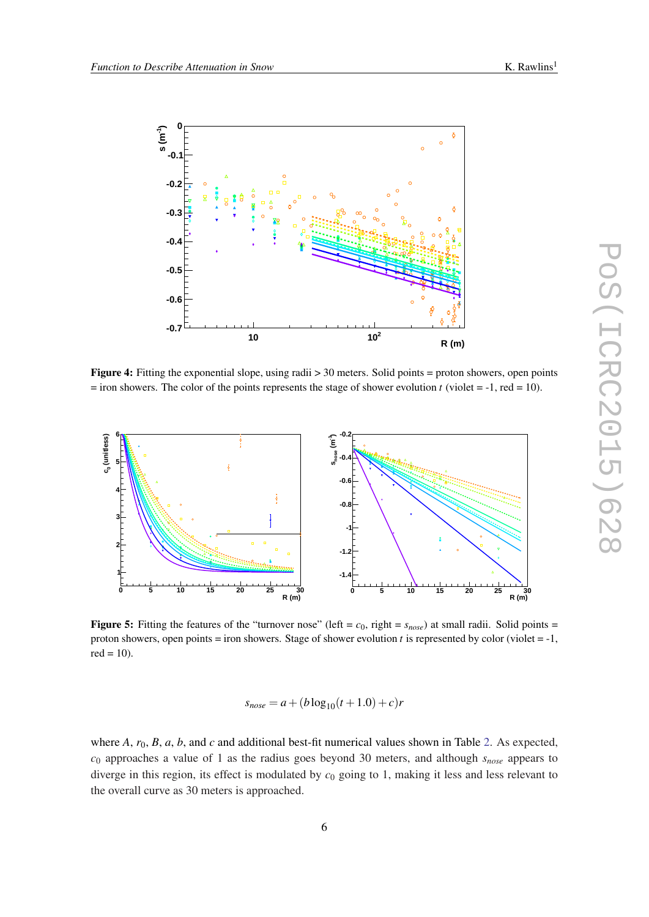<span id="page-5-0"></span>

Figure 4: Fitting the exponential slope, using radii > 30 meters. Solid points = proton showers, open points  $=$  iron showers. The color of the points represents the stage of shower evolution *t* (violet  $=$  -1, red  $=$  10).



Figure 5: Fitting the features of the "turnover nose" (left =  $c_0$ , right =  $s_{nose}$ ) at small radii. Solid points = proton showers, open points  $=$  iron showers. Stage of shower evolution *t* is represented by color (violet  $=$   $-1$ ,  $red = 10$ ).

$$
s_{nose} = a + (b \log_{10}(t+1.0) + c)r
$$

where *A*,  $r_0$ , *B*, *a*, *b*, and *c* and additional best-fit numerical values shown in Table [2](#page-6-0). As expected, *c*<sup>0</sup> approaches a value of 1 as the radius goes beyond 30 meters, and although *snose* appears to diverge in this region, its effect is modulated by *c*<sup>0</sup> going to 1, making it less and less relevant to the overall curve as 30 meters is approached.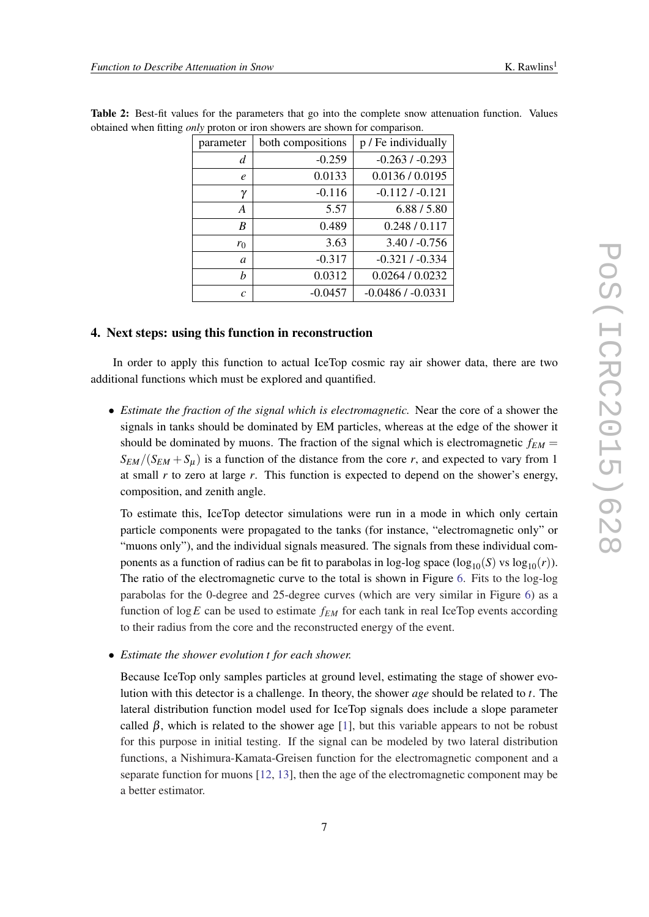| parameter     | both compositions | p / Fe individually |
|---------------|-------------------|---------------------|
| d             | $-0.259$          | $-0.263/ -0.293$    |
| e             | 0.0133            | 0.0136 / 0.0195     |
| γ             | $-0.116$          | $-0.112 / -0.121$   |
| A             | 5.57              | 6.88 / 5.80         |
| B             | 0.489             | 0.248 / 0.117       |
| $r_0$         | 3.63              | $3.40 / -0.756$     |
| a             | $-0.317$          | $-0.321 / -0.334$   |
| h             | 0.0312            | 0.0264 / 0.0232     |
| $\mathcal{C}$ | $-0.0457$         | $-0.0486/ -0.0331$  |

<span id="page-6-0"></span>Table 2: Best-fit values for the parameters that go into the complete snow attenuation function. Values obtained when fitting *only* proton or iron showers are shown for comparison.

#### 4. Next steps: using this function in reconstruction

In order to apply this function to actual IceTop cosmic ray air shower data, there are two additional functions which must be explored and quantified.

• *Estimate the fraction of the signal which is electromagnetic.* Near the core of a shower the signals in tanks should be dominated by EM particles, whereas at the edge of the shower it should be dominated by muons. The fraction of the signal which is electromagnetic  $f_{EM}$  =  $S_{EM}/(S_{EM} + S_{U})$  is a function of the distance from the core *r*, and expected to vary from 1 at small *r* to zero at large *r*. This function is expected to depend on the shower's energy, composition, and zenith angle.

To estimate this, IceTop detector simulations were run in a mode in which only certain particle components were propagated to the tanks (for instance, "electromagnetic only" or "muons only"), and the individual signals measured. The signals from these individual components as a function of radius can be fit to parabolas in log-log space  $(\log_{10}(S) \text{ vs } \log_{10}(r))$ . The ratio of the electromagnetic curve to the total is shown in Figure [6.](#page-7-0) Fits to the log-log parabolas for the 0-degree and 25-degree curves (which are very similar in Figure [6](#page-7-0)) as a function of log*E* can be used to estimate *fEM* for each tank in real IceTop events according to their radius from the core and the reconstructed energy of the event.

• *Estimate the shower evolution t for each shower.*

Because IceTop only samples particles at ground level, estimating the stage of shower evolution with this detector is a challenge. In theory, the shower *age* should be related to *t*. The lateral distribution function model used for IceTop signals does include a slope parameter called  $\beta$ , which is related to the shower age [\[1\]](#page-7-0), but this variable appears to not be robust for this purpose in initial testing. If the signal can be modeled by two lateral distribution functions, a Nishimura-Kamata-Greisen function for the electromagnetic component and a separate function for muons [\[12](#page-7-0), [13](#page-7-0)], then the age of the electromagnetic component may be a better estimator.